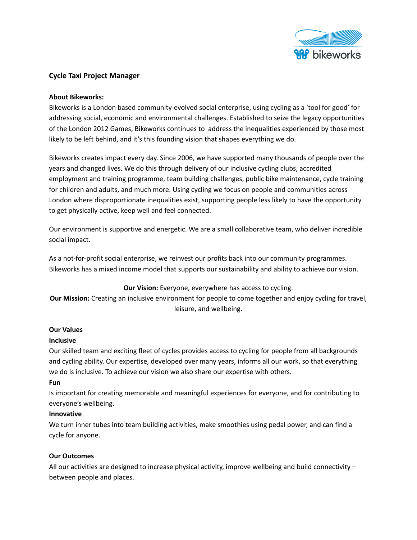

# **Cycle Taxi Project Manager**

## **About Bikeworks:**

Bikeworks is a London based community-evolved social enterprise, using cycling as a 'tool for good' for addressing social, economic and environmental challenges. Established to seize the legacy opportunities of the London 2012 Games, Bikeworks continues to address the inequalities experienced by those most likely to be left behind, and it's this founding vision that shapes everything we do.

Bikeworks creates impact every day. Since 2006, we have supported many thousands of people over the years and changed lives. We do this through delivery of our inclusive cycling clubs, accredited employment and training programme, team building challenges, public bike maintenance, cycle training for children and adults, and much more. Using cycling we focus on people and communities across London where disproportionate inequalities exist, supporting people less likely to have the opportunity to get physically active, keep well and feel connected.

Our environment is supportive and energetic. We are a small collaborative team, who deliver incredible social impact.

As a not-for-profit social enterprise, we reinvest our profits back into our community programmes. Bikeworks has a mixed income model that supports our sustainability and ability to achieve our vision.

## **Our Vision:** Everyone, everywhere has access to cycling.

**Our Mission:** Creating an inclusive environment for people to come together and enjoy cycling for travel, leisure, and wellbeing.

## **Our Values**

## **Inclusive**

Our skilled team and exciting fleet of cycles provides access to cycling for people from all backgrounds and cycling ability. Our expertise, developed over many years, informs all our work, so that everything we do is inclusive. To achieve our vision we also share our expertise with others.

## **Fun**

Is important for creating memorable and meaningful experiences for everyone, and for contributing to everyone's wellbeing.

## **Innovative**

We turn inner tubes into team building activities, make smoothies using pedal power, and can find a cycle for anyone.

## **Our Outcomes**

All our activities are designed to increase physical activity, improve wellbeing and build connectivity – between people and places.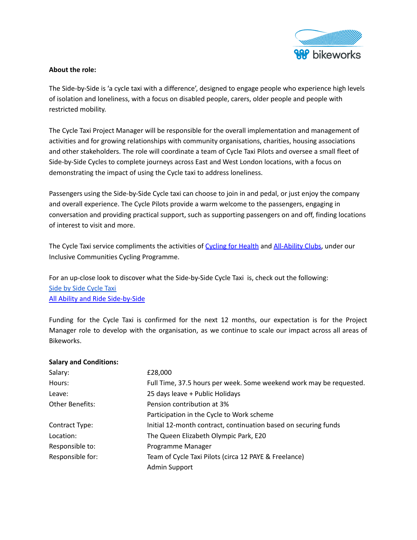

# **About the role:**

The Side-by-Side is 'a cycle taxi with a difference', designed to engage people who experience high levels of isolation and loneliness, with a focus on disabled people, carers, older people and people with restricted mobility.

The Cycle Taxi Project Manager will be responsible for the overall implementation and management of activities and for growing relationships with community organisations, charities, housing associations and other stakeholders. The role will coordinate a team of Cycle Taxi Pilots and oversee a small fleet of Side-by-Side Cycles to complete journeys across East and West London locations, with a focus on demonstrating the impact of using the Cycle taxi to address loneliness.

Passengers using the Side-by-Side Cycle taxi can choose to join in and pedal, or just enjoy the company and overall experience. The Cycle Pilots provide a warm welcome to the passengers, engaging in conversation and providing practical support, such as supporting passengers on and off, finding locations of interest to visit and more.

The Cycle Taxi service compliments the activities of [Cycling](https://www.bikeworks.org.uk/cycing-for-wellbeing/cycling-for-wellbeing#:~:text=Cycling%20for%20Wellbeing%20is%20a,have%20experienced%20a%20bereavement%3B%20and) for Health and [All-Ability](https://www.bikeworks.org.uk/all-ability/all-ability/#1632126376112-b98adf0b-9a31) Clubs, under our Inclusive Communities Cycling Programme.

For an up-close look to discover what the Side-by-Side Cycle Taxi is, check out the following: Side by Side [Cycle](https://www.bikeworks.org.uk/cycle-taxi-service/) Taxi All Ability and Ride [Side-by-Side](https://www.youtube.com/watch?v=eCyWKALh048)

Funding for the Cycle Taxi is confirmed for the next 12 months, our expectation is for the Project Manager role to develop with the organisation, as we continue to scale our impact across all areas of Bikeworks.

## **Salary and Conditions:**

| Salary:          | £28,000                                                             |
|------------------|---------------------------------------------------------------------|
| Hours:           | Full Time, 37.5 hours per week. Some weekend work may be requested. |
| Leave:           | 25 days leave + Public Holidays                                     |
| Other Benefits:  | Pension contribution at 3%                                          |
|                  | Participation in the Cycle to Work scheme                           |
| Contract Type:   | Initial 12-month contract, continuation based on securing funds     |
| Location:        | The Queen Elizabeth Olympic Park, E20                               |
| Responsible to:  | Programme Manager                                                   |
| Responsible for: | Team of Cycle Taxi Pilots (circa 12 PAYE & Freelance)               |
|                  | Admin Support                                                       |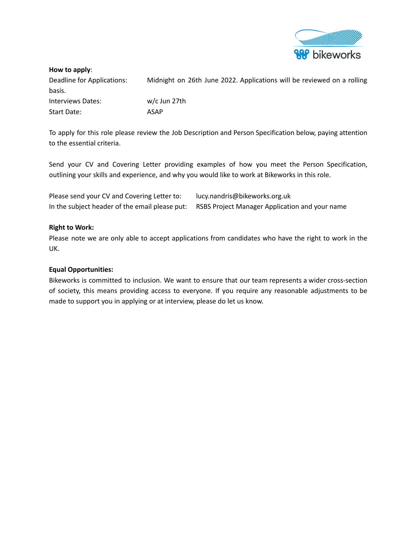

#### **How to apply**:

Deadline for Applications: Midnight on 26th June 2022. Applications will be reviewed on a rolling basis. Interviews Dates: w/c Jun 27th Start Date: ASAP

To apply for this role please review the Job Description and Person Specification below, paying attention to the essential criteria.

Send your CV and Covering Letter providing examples of how you meet the Person Specification, outlining your skills and experience, and why you would like to work at Bikeworks in this role.

| Please send your CV and Covering Letter to:    | lucy.nandris@bikeworks.org.uk                  |
|------------------------------------------------|------------------------------------------------|
| In the subject header of the email please put: | RSBS Project Manager Application and your name |

#### **Right to Work:**

Please note we are only able to accept applications from candidates who have the right to work in the UK.

### **Equal Opportunities:**

Bikeworks is committed to inclusion. We want to ensure that our team represents a wider cross-section of society, this means providing access to everyone. If you require any reasonable adjustments to be made to support you in applying or at interview, please do let us know.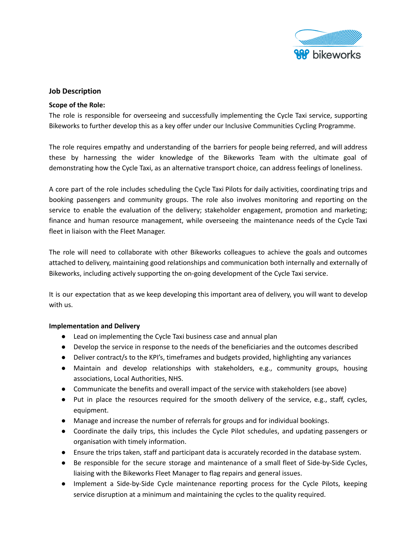

#### **Job Description**

#### **Scope of the Role:**

The role is responsible for overseeing and successfully implementing the Cycle Taxi service, supporting Bikeworks to further develop this as a key offer under our Inclusive Communities Cycling Programme.

The role requires empathy and understanding of the barriers for people being referred, and will address these by harnessing the wider knowledge of the Bikeworks Team with the ultimate goal of demonstrating how the Cycle Taxi, as an alternative transport choice, can address feelings of loneliness.

A core part of the role includes scheduling the Cycle Taxi Pilots for daily activities, coordinating trips and booking passengers and community groups. The role also involves monitoring and reporting on the service to enable the evaluation of the delivery; stakeholder engagement, promotion and marketing; finance and human resource management, while overseeing the maintenance needs of the Cycle Taxi fleet in liaison with the Fleet Manager.

The role will need to collaborate with other Bikeworks colleagues to achieve the goals and outcomes attached to delivery, maintaining good relationships and communication both internally and externally of Bikeworks, including actively supporting the on-going development of the Cycle Taxi service.

It is our expectation that as we keep developing this important area of delivery, you will want to develop with us.

#### **Implementation and Delivery**

- Lead on implementing the Cycle Taxi business case and annual plan
- Develop the service in response to the needs of the beneficiaries and the outcomes described
- Deliver contract/s to the KPI's, time frames and budgets provided, highlighting any variances
- Maintain and develop relationships with stakeholders, e.g., community groups, housing associations, Local Authorities, NHS.
- Communicate the benefits and overall impact of the service with stakeholders (see above)
- Put in place the resources required for the smooth delivery of the service, e.g., staff, cycles, equipment.
- Manage and increase the number of referrals for groups and for individual bookings.
- Coordinate the daily trips, this includes the Cycle Pilot schedules, and updating passengers or organisation with timely information.
- Ensure the trips taken, staff and participant data is accurately recorded in the database system.
- Be responsible for the secure storage and maintenance of a small fleet of Side-by-Side Cycles, liaising with the Bikeworks Fleet Manager to flag repairs and general issues.
- Implement a Side-by-Side Cycle maintenance reporting process for the Cycle Pilots, keeping service disruption at a minimum and maintaining the cycles to the quality required.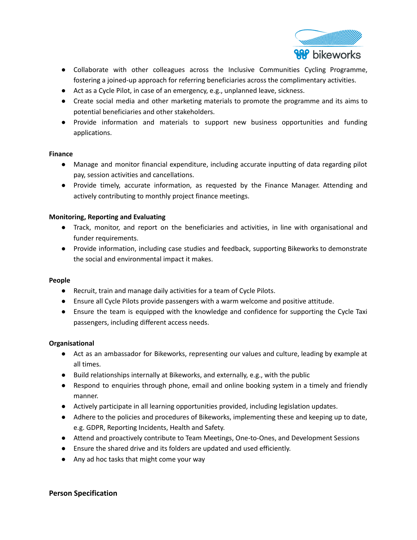

- Collaborate with other colleagues across the Inclusive Communities Cycling Programme, fostering a joined-up approach for referring beneficiaries across the complimentary activities.
- Act as a Cycle Pilot, in case of an emergency, e.g., unplanned leave, sickness.
- Create social media and other marketing materials to promote the programme and its aims to potential beneficiaries and other stakeholders.
- Provide information and materials to support new business opportunities and funding applications.

#### **Finance**

- Manage and monitor financial expenditure, including accurate inputting of data regarding pilot pay, session activities and cancellations.
- Provide timely, accurate information, as requested by the Finance Manager. Attending and actively contributing to monthly project finance meetings.

## **Monitoring, Reporting and Evaluating**

- Track, monitor, and report on the beneficiaries and activities, in line with organisational and funder requirements.
- Provide information, including case studies and feedback, supporting Bikeworks to demonstrate the social and environmental impact it makes.

#### **People**

- Recruit, train and manage daily activities for a team of Cycle Pilots.
- Ensure all Cycle Pilots provide passengers with a warm welcome and positive attitude.
- Ensure the team is equipped with the knowledge and confidence for supporting the Cycle Taxi passengers, including different access needs.

## **Organisational**

- Act as an ambassador for Bikeworks, representing our values and culture, leading by example at all times.
- Build relationships internally at Bikeworks, and externally, e.g., with the public
- Respond to enquiries through phone, email and online booking system in a timely and friendly manner.
- Actively participate in all learning opportunities provided, including legislation updates.
- Adhere to the policies and procedures of Bikeworks, implementing these and keeping up to date, e.g. GDPR, Reporting Incidents, Health and Safety.
- Attend and proactively contribute to Team Meetings, One-to-Ones, and Development Sessions
- Ensure the shared drive and its folders are updated and used efficiently.
- Any ad hoc tasks that might come your way

## **Person Specification**